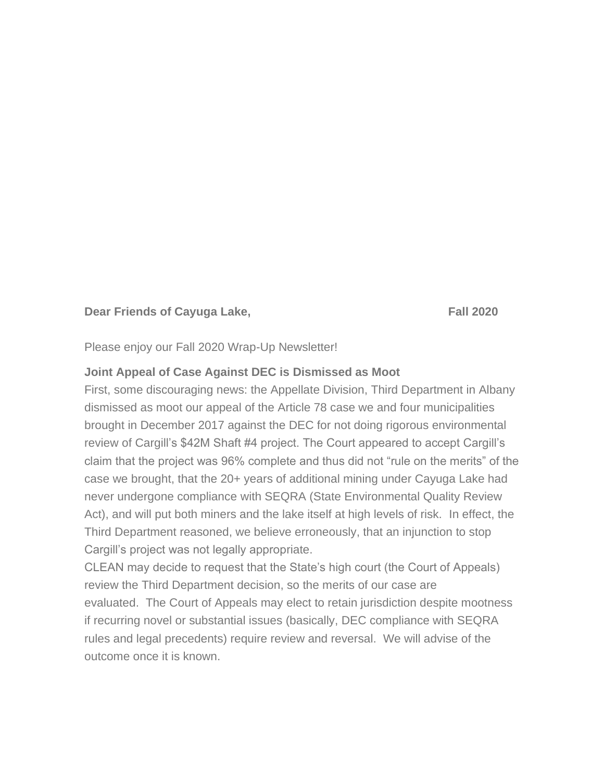#### **Dear Friends of Cayuga Lake, The Canadian Care Care Care Fall 2020**

Please enjoy our Fall 2020 Wrap-Up Newsletter!

#### **Joint Appeal of Case Against DEC is Dismissed as Moot**

First, some discouraging news: the Appellate Division, Third Department in Albany dismissed as moot our appeal of the Article 78 case we and four municipalities brought in December 2017 against the DEC for not doing rigorous environmental review of Cargill's \$42M Shaft #4 project. The Court appeared to accept Cargill's claim that the project was 96% complete and thus did not "rule on the merits" of the case we brought, that the 20+ years of additional mining under Cayuga Lake had never undergone compliance with SEQRA (State Environmental Quality Review Act), and will put both miners and the lake itself at high levels of risk. In effect, the Third Department reasoned, we believe erroneously, that an injunction to stop Cargill's project was not legally appropriate.

CLEAN may decide to request that the State's high court (the Court of Appeals) review the Third Department decision, so the merits of our case are evaluated. The Court of Appeals may elect to retain jurisdiction despite mootness if recurring novel or substantial issues (basically, DEC compliance with SEQRA rules and legal precedents) require review and reversal. We will advise of the outcome once it is known.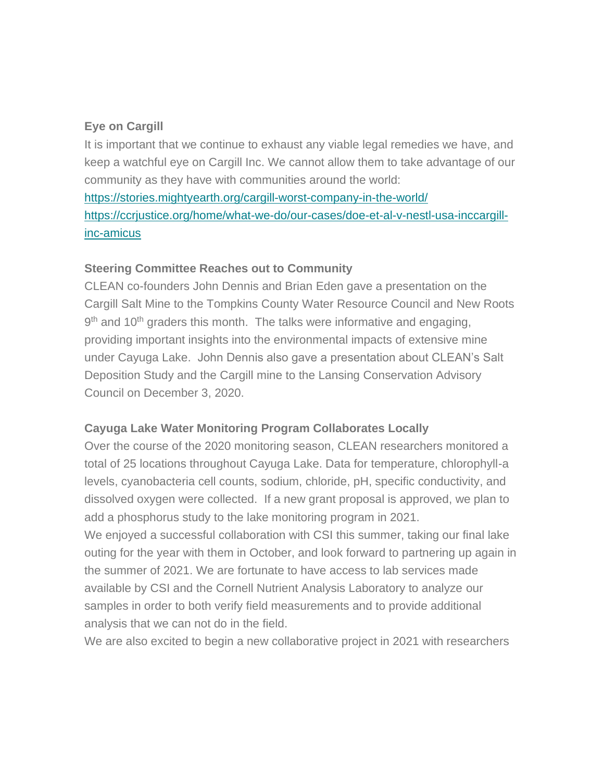# **Eye on Cargill**

It is important that we continue to exhaust any viable legal remedies we have, and keep a watchful eye on Cargill Inc. We cannot allow them to take advantage of our community as they have with communities around the world: <https://stories.mightyearth.org/cargill-worst-company-in-the-world/> [https://ccrjustice.org/home/what-we-do/our-cases/doe-et-al-v-nestl-usa-inccargill-](https://ccrjustice.org/home/what-we-do/our-cases/doe-et-al-v-nestl-usa-inccargill-inc-amicus)

# [inc-amicus](https://ccrjustice.org/home/what-we-do/our-cases/doe-et-al-v-nestl-usa-inccargill-inc-amicus)

# **Steering Committee Reaches out to Community**

CLEAN co-founders John Dennis and Brian Eden gave a presentation on the Cargill Salt Mine to the Tompkins County Water Resource Council and New Roots 9<sup>th</sup> and 10<sup>th</sup> graders this month. The talks were informative and engaging, providing important insights into the environmental impacts of extensive mine under Cayuga Lake. John Dennis also gave a presentation about CLEAN's Salt Deposition Study and the Cargill mine to the Lansing Conservation Advisory Council on December 3, 2020.

# **Cayuga Lake Water Monitoring Program Collaborates Locally**

Over the course of the 2020 monitoring season, CLEAN researchers monitored a total of 25 locations throughout Cayuga Lake. Data for temperature, chlorophyll-a levels, cyanobacteria cell counts, sodium, chloride, pH, specific conductivity, and dissolved oxygen were collected. If a new grant proposal is approved, we plan to add a phosphorus study to the lake monitoring program in 2021.

We enjoyed a successful collaboration with CSI this summer, taking our final lake outing for the year with them in October, and look forward to partnering up again in the summer of 2021. We are fortunate to have access to lab services made available by CSI and the Cornell Nutrient Analysis Laboratory to analyze our samples in order to both verify field measurements and to provide additional analysis that we can not do in the field.

We are also excited to begin a new collaborative project in 2021 with researchers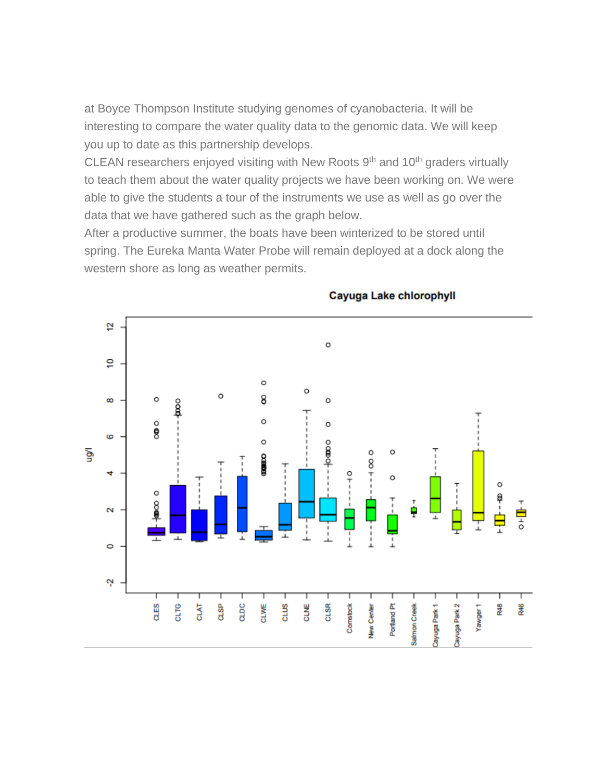at Boyce Thompson Institute studying genomes of cyanobacteria. It will be interesting to compare the water quality data to the genomic data. We will keep you up to date as this partnership develops.

CLEAN researchers enjoyed visiting with New Roots 9<sup>th</sup> and 10<sup>th</sup> graders virtually to teach them about the water quality projects we have been working on. We were able to give the students a tour of the instruments we use as well as go over the data that we have gathered such as the graph below.

After a productive summer, the boats have been winterized to be stored until spring. The Eureka Manta Water Probe will remain deployed at a dock along the western shore as long as weather permits.



#### Cayuga Lake chlorophyll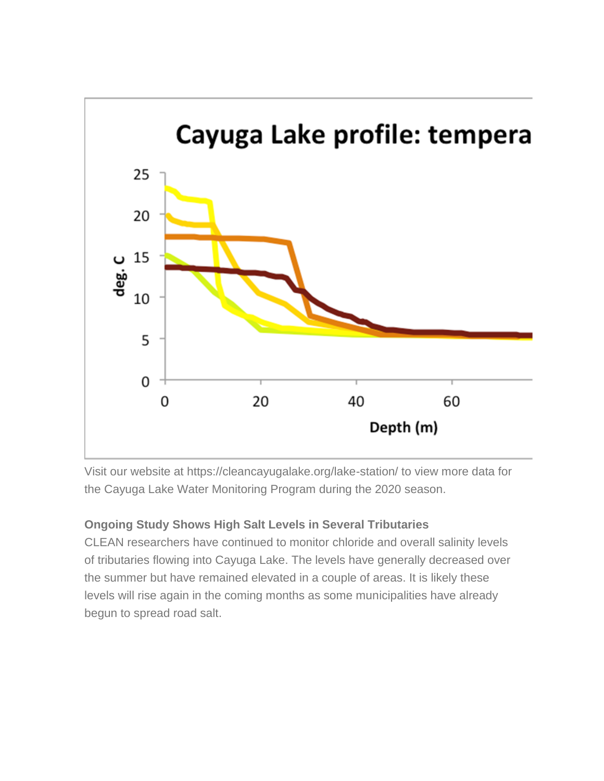

Visit our website at https://cleancayugalake.org/lake-station/ to view more data for the Cayuga Lake Water Monitoring Program during the 2020 season.

# **Ongoing Study Shows High Salt Levels in Several Tributaries**

CLEAN researchers have continued to monitor chloride and overall salinity levels of tributaries flowing into Cayuga Lake. The levels have generally decreased over the summer but have remained elevated in a couple of areas. It is likely these levels will rise again in the coming months as some municipalities have already begun to spread road salt.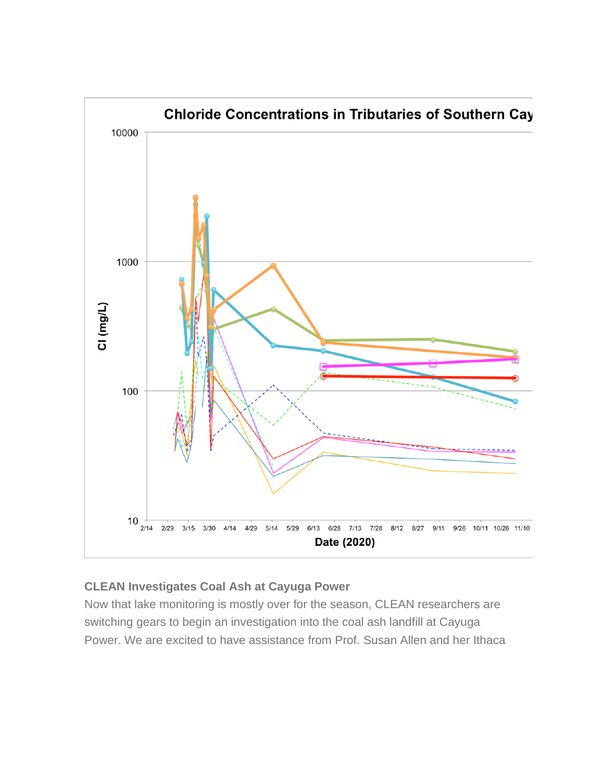

# **CLEAN Investigates Coal Ash at Cayuga Power**

Now that lake monitoring is mostly over for the season, CLEAN researchers are switching gears to begin an investigation into the coal ash landfill at Cayuga Power. We are excited to have assistance from Prof. Susan Allen and her Ithaca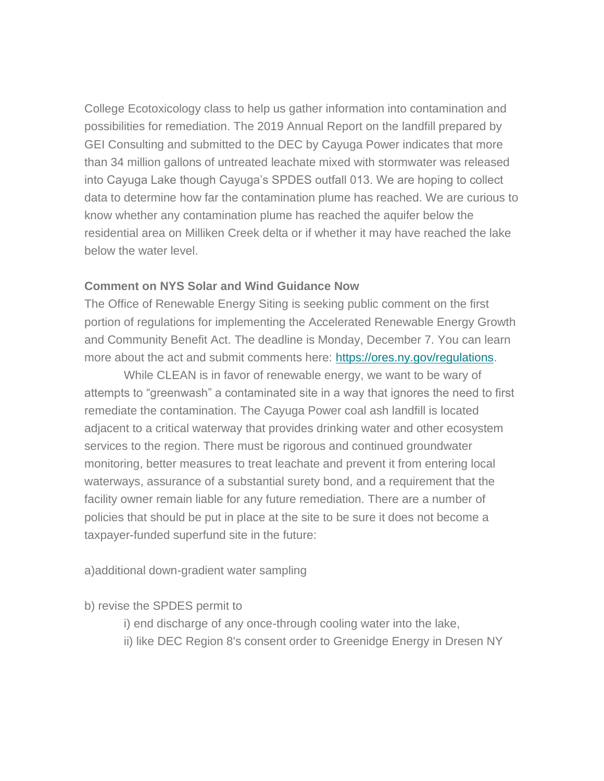College Ecotoxicology class to help us gather information into contamination and possibilities for remediation. The 2019 Annual Report on the landfill prepared by GEI Consulting and submitted to the DEC by Cayuga Power indicates that more than 34 million gallons of untreated leachate mixed with stormwater was released into Cayuga Lake though Cayuga's SPDES outfall 013. We are hoping to collect data to determine how far the contamination plume has reached. We are curious to know whether any contamination plume has reached the aquifer below the residential area on Milliken Creek delta or if whether it may have reached the lake below the water level.

# **Comment on NYS Solar and Wind Guidance Now**

The Office of Renewable Energy Siting is seeking public comment on the first portion of regulations for implementing the Accelerated Renewable Energy Growth and Community Benefit Act. The deadline is Monday, December 7. You can learn more about the act and submit comments here: [https://ores.ny.gov/regulations.](https://ores.ny.gov/regulations)

 While CLEAN is in favor of renewable energy, we want to be wary of attempts to "greenwash" a contaminated site in a way that ignores the need to first remediate the contamination. The Cayuga Power coal ash landfill is located adjacent to a critical waterway that provides drinking water and other ecosystem services to the region. There must be rigorous and continued groundwater monitoring, better measures to treat leachate and prevent it from entering local waterways, assurance of a substantial surety bond, and a requirement that the facility owner remain liable for any future remediation. There are a number of policies that should be put in place at the site to be sure it does not become a taxpayer-funded superfund site in the future:

a)additional down-gradient water sampling

# b) revise the SPDES permit to

- i) end discharge of any once-through cooling water into the lake,
- ii) like DEC Region 8's consent order to Greenidge Energy in Dresen NY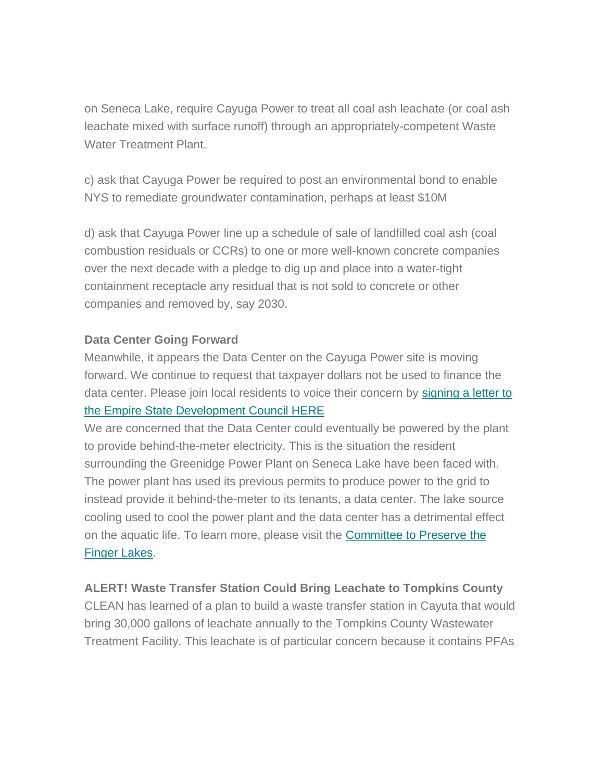on Seneca Lake, require Cayuga Power to treat all coal ash leachate (or coal ash leachate mixed with surface runoff) through an appropriately-competent Waste Water Treatment Plant.

c) ask that Cayuga Power be required to post an environmental bond to enable NYS to remediate groundwater contamination, perhaps at least \$10M

d) ask that Cayuga Power line up a schedule of sale of landfilled coal ash (coal combustion residuals or CCRs) to one or more well-known concrete companies over the next decade with a pledge to dig up and place into a water-tight containment receptacle any residual that is not sold to concrete or other companies and removed by, say 2030.

#### **Data Center Going Forward**

Meanwhile, it appears the Data Center on the Cayuga Power site is moving forward. We continue to request that taxpayer dollars not be used to finance the data center. Please join local residents to voice their concern by [signing a letter to](https://www.facebook.com/groups/ctpfl)  [the Empire State Development Council HERE](https://www.facebook.com/groups/ctpfl)

We are concerned that the Data Center could eventually be powered by the plant to provide behind-the-meter electricity. This is the situation the resident surrounding the Greenidge Power Plant on Seneca Lake have been faced with. The power plant has used its previous permits to produce power to the grid to instead provide it behind-the-meter to its tenants, a data center. The lake source cooling used to cool the power plant and the data center has a detrimental effect on the aquatic life. To learn more, please visit the [Committee to Preserve the](https://www.facebook.com/groups/ctpfl)  [Finger Lakes.](https://www.facebook.com/groups/ctpfl)

# **ALERT! Waste Transfer Station Could Bring Leachate to Tompkins County**

CLEAN has learned of a plan to build a waste transfer station in Cayuta that would bring 30,000 gallons of leachate annually to the Tompkins County Wastewater Treatment Facility. This leachate is of particular concern because it contains PFAs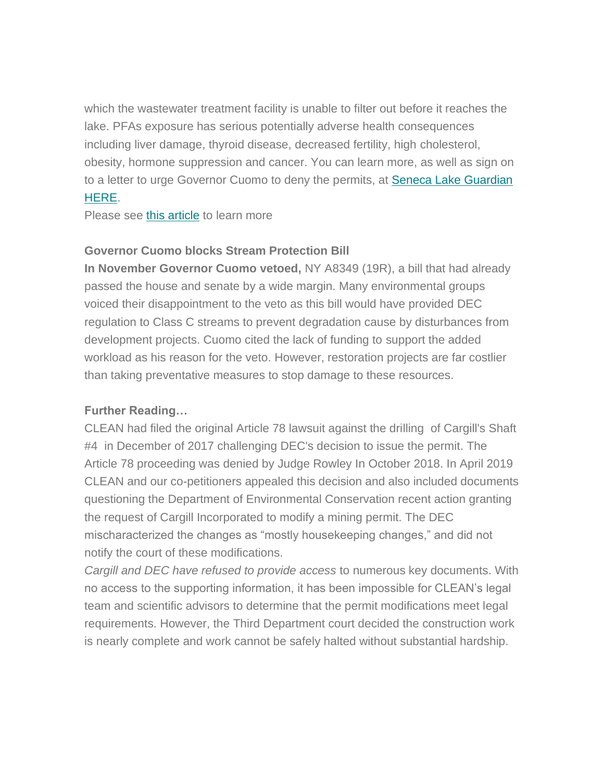which the wastewater treatment facility is unable to filter out before it reaches the lake. PFAs exposure has serious potentially adverse health consequences including liver damage, thyroid disease, decreased fertility, high cholesterol, obesity, hormone suppression and cancer. You can learn more, as well as sign on to a letter to urge Governor Cuomo to deny the permits, at [Seneca Lake Guardian](https://senecalakeguardian.org/sign-on-to-protect-the-Finger-Lakes-and-the-Chesapeake-Bay-Watershed)  [HERE.](https://senecalakeguardian.org/sign-on-to-protect-the-Finger-Lakes-and-the-Chesapeake-Bay-Watershed)

Please see [this article](https://waterfrontonline.blog/2020/09/16/planned-waste-facility-in-cayuta-draws-fire-from-seneca-lake-guardian-after-dec-shrugs-off-environmental-risks/) to learn more

# **Governor Cuomo blocks Stream Protection Bill**

**In November Governor Cuomo vetoed,** NY A8349 (19R), a bill that had already passed the house and senate by a wide margin. Many environmental groups voiced their disappointment to the veto as this bill would have provided DEC regulation to Class C streams to prevent degradation cause by disturbances from development projects. Cuomo cited the lack of funding to support the added workload as his reason for the veto. However, restoration projects are far costlier than taking preventative measures to stop damage to these resources.

# **Further Reading…**

CLEAN had filed the original Article 78 lawsuit against the drilling of Cargill's Shaft #4 in December of 2017 challenging DEC's decision to issue the permit. The Article 78 proceeding was denied by Judge Rowley In October 2018. In April 2019 CLEAN and our co-petitioners appealed this decision and also included documents questioning the Department of Environmental Conservation recent action granting the request of Cargill Incorporated to modify a mining permit. The DEC mischaracterized the changes as "mostly housekeeping changes," and did not notify the court of these modifications.

*Cargill and DEC have refused to provide access* to numerous key documents. With no access to the supporting information, it has been impossible for CLEAN's legal team and scientific advisors to determine that the permit modifications meet legal requirements. However, the Third Department court decided the construction work is nearly complete and work cannot be safely halted without substantial hardship.